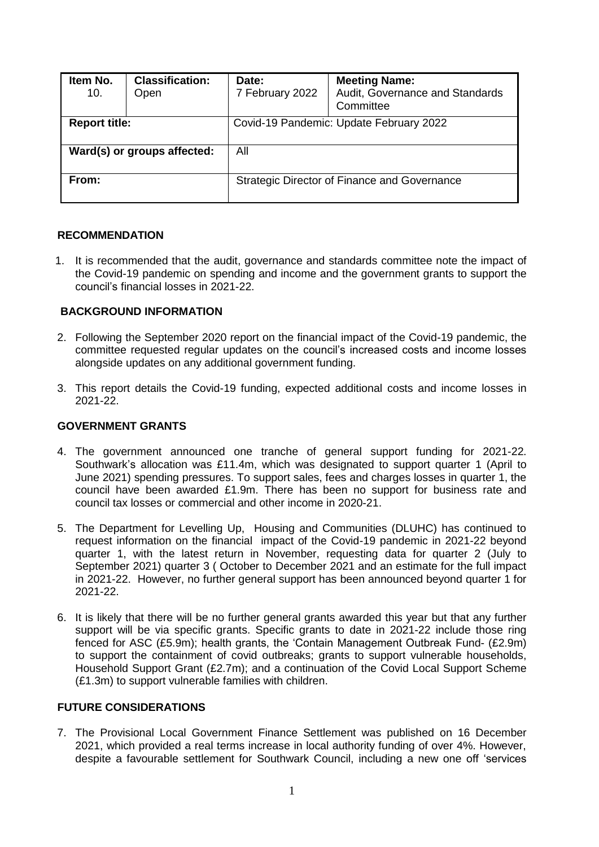| Item No.<br>10.             | <b>Classification:</b><br>Open | Date:<br>7 February 2022                     | <b>Meeting Name:</b><br>Audit, Governance and Standards<br>Committee |  |
|-----------------------------|--------------------------------|----------------------------------------------|----------------------------------------------------------------------|--|
| <b>Report title:</b>        |                                | Covid-19 Pandemic: Update February 2022      |                                                                      |  |
| Ward(s) or groups affected: |                                | All                                          |                                                                      |  |
| From:                       |                                | Strategic Director of Finance and Governance |                                                                      |  |

### **RECOMMENDATION**

1. It is recommended that the audit, governance and standards committee note the impact of the Covid-19 pandemic on spending and income and the government grants to support the council's financial losses in 2021-22.

# **BACKGROUND INFORMATION**

- 2. Following the September 2020 report on the financial impact of the Covid-19 pandemic, the committee requested regular updates on the council's increased costs and income losses alongside updates on any additional government funding.
- 3. This report details the Covid-19 funding, expected additional costs and income losses in 2021-22.

# **GOVERNMENT GRANTS**

- 4. The government announced one tranche of general support funding for 2021-22. Southwark's allocation was £11.4m, which was designated to support quarter 1 (April to June 2021) spending pressures. To support sales, fees and charges losses in quarter 1, the council have been awarded £1.9m. There has been no support for business rate and council tax losses or commercial and other income in 2020-21.
- 5. The Department for Levelling Up, Housing and Communities (DLUHC) has continued to request information on the financial impact of the Covid-19 pandemic in 2021-22 beyond quarter 1, with the latest return in November, requesting data for quarter 2 (July to September 2021) quarter 3 ( October to December 2021 and an estimate for the full impact in 2021-22. However, no further general support has been announced beyond quarter 1 for 2021-22.
- 6. It is likely that there will be no further general grants awarded this year but that any further support will be via specific grants. Specific grants to date in 2021-22 include those ring fenced for ASC (£5.9m); health grants, the 'Contain Management Outbreak Fund- (£2.9m) to support the containment of covid outbreaks; grants to support vulnerable households, Household Support Grant (£2.7m); and a continuation of the Covid Local Support Scheme (£1.3m) to support vulnerable families with children.

### **FUTURE CONSIDERATIONS**

7. The Provisional Local Government Finance Settlement was published on 16 December 2021, which provided a real terms increase in local authority funding of over 4%. However, despite a favourable settlement for Southwark Council, including a new one off 'services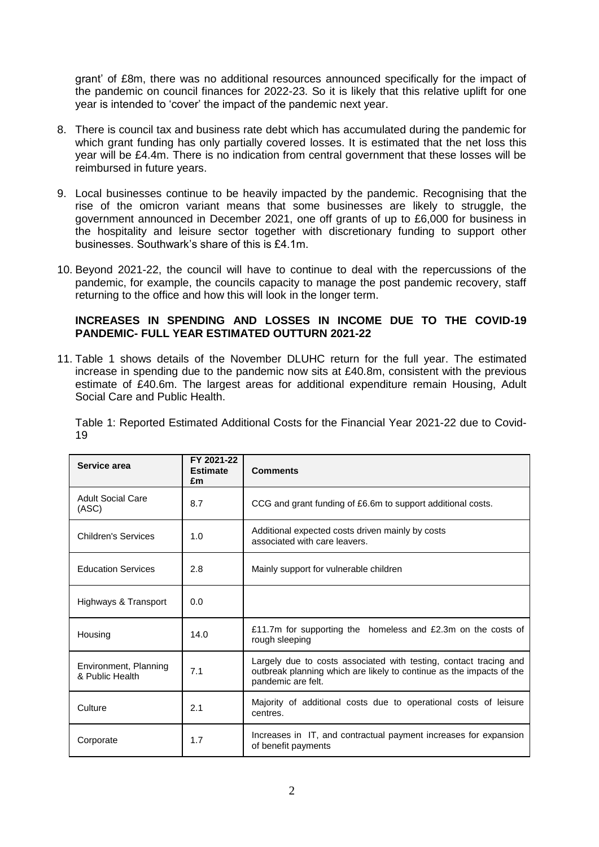grant' of £8m, there was no additional resources announced specifically for the impact of the pandemic on council finances for 2022-23. So it is likely that this relative uplift for one year is intended to 'cover' the impact of the pandemic next year.

- 8. There is council tax and business rate debt which has accumulated during the pandemic for which grant funding has only partially covered losses. It is estimated that the net loss this year will be £4.4m. There is no indication from central government that these losses will be reimbursed in future years.
- 9. Local businesses continue to be heavily impacted by the pandemic. Recognising that the rise of the omicron variant means that some businesses are likely to struggle, the government announced in December 2021, one off grants of up to £6,000 for business in the hospitality and leisure sector together with discretionary funding to support other businesses. Southwark's share of this is £4.1m.
- 10. Beyond 2021-22, the council will have to continue to deal with the repercussions of the pandemic, for example, the councils capacity to manage the post pandemic recovery, staff returning to the office and how this will look in the longer term.

## **INCREASES IN SPENDING AND LOSSES IN INCOME DUE TO THE COVID-19 PANDEMIC- FULL YEAR ESTIMATED OUTTURN 2021-22**

11. Table 1 shows details of the November DLUHC return for the full year. The estimated increase in spending due to the pandemic now sits at £40.8m, consistent with the previous estimate of £40.6m. The largest areas for additional expenditure remain Housing, Adult Social Care and Public Health.

Table 1: Reported Estimated Additional Costs for the Financial Year 2021-22 due to Covid-19

| Service area                             | FY 2021-22<br><b>Estimate</b><br>£m | <b>Comments</b>                                                                                                                                                 |
|------------------------------------------|-------------------------------------|-----------------------------------------------------------------------------------------------------------------------------------------------------------------|
| <b>Adult Social Care</b><br>(ASC)        | 8.7                                 | CCG and grant funding of £6.6m to support additional costs.                                                                                                     |
| <b>Children's Services</b>               | 1.0                                 | Additional expected costs driven mainly by costs<br>associated with care leavers.                                                                               |
| <b>Education Services</b>                | 2.8                                 | Mainly support for vulnerable children                                                                                                                          |
| Highways & Transport                     | 0.0                                 |                                                                                                                                                                 |
| Housing                                  | 14.0                                | £11.7m for supporting the homeless and £2.3m on the costs of<br>rough sleeping                                                                                  |
| Environment, Planning<br>& Public Health | 7.1                                 | Largely due to costs associated with testing, contact tracing and<br>outbreak planning which are likely to continue as the impacts of the<br>pandemic are felt. |
| Culture                                  | 2.1                                 | Majority of additional costs due to operational costs of leisure<br>centres.                                                                                    |
| Corporate                                | 1.7                                 | Increases in IT, and contractual payment increases for expansion<br>of benefit payments                                                                         |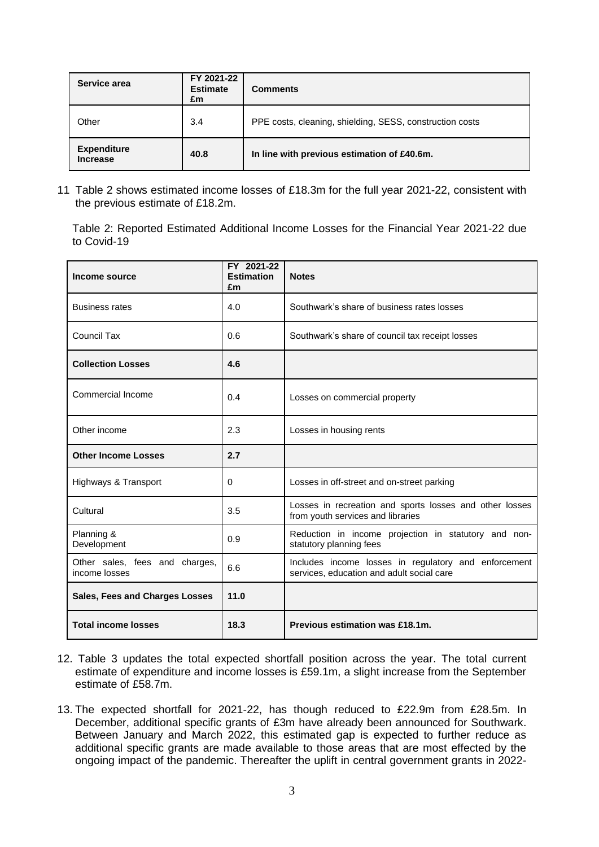| Service area                          | FY 2021-22<br><b>Estimate</b><br>£m | <b>Comments</b>                                          |
|---------------------------------------|-------------------------------------|----------------------------------------------------------|
| Other                                 | 3.4                                 | PPE costs, cleaning, shielding, SESS, construction costs |
| <b>Expenditure</b><br><b>Increase</b> | 40.8                                | In line with previous estimation of £40.6m.              |

11 Table 2 shows estimated income losses of £18.3m for the full year 2021-22, consistent with the previous estimate of £18.2m.

Table 2: Reported Estimated Additional Income Losses for the Financial Year 2021-22 due to Covid-19

| Income source                                   | FY 2021-22<br><b>Estimation</b><br>£m | <b>Notes</b>                                                                                      |
|-------------------------------------------------|---------------------------------------|---------------------------------------------------------------------------------------------------|
| <b>Business rates</b>                           | 4.0                                   | Southwark's share of business rates losses                                                        |
| Council Tax                                     | 0.6                                   | Southwark's share of council tax receipt losses                                                   |
| <b>Collection Losses</b>                        | 4.6                                   |                                                                                                   |
| Commercial Income                               | 0.4                                   | Losses on commercial property                                                                     |
| Other income                                    | 2.3                                   | Losses in housing rents                                                                           |
| <b>Other Income Losses</b>                      | 2.7                                   |                                                                                                   |
| Highways & Transport                            | 0                                     | Losses in off-street and on-street parking                                                        |
| Cultural                                        | 3.5                                   | Losses in recreation and sports losses and other losses<br>from youth services and libraries      |
| Planning &<br>Development                       | 0.9                                   | Reduction in income projection in statutory and non-<br>statutory planning fees                   |
| Other sales, fees and charges,<br>income losses | 6.6                                   | Includes income losses in regulatory and enforcement<br>services, education and adult social care |
| <b>Sales, Fees and Charges Losses</b>           | 11.0                                  |                                                                                                   |
| <b>Total income losses</b>                      | 18.3                                  | Previous estimation was £18.1m.                                                                   |

- 12. Table 3 updates the total expected shortfall position across the year. The total current estimate of expenditure and income losses is £59.1m, a slight increase from the September estimate of £58.7m.
- 13. The expected shortfall for 2021-22, has though reduced to £22.9m from £28.5m. In December, additional specific grants of £3m have already been announced for Southwark. Between January and March 2022, this estimated gap is expected to further reduce as additional specific grants are made available to those areas that are most effected by the ongoing impact of the pandemic. Thereafter the uplift in central government grants in 2022-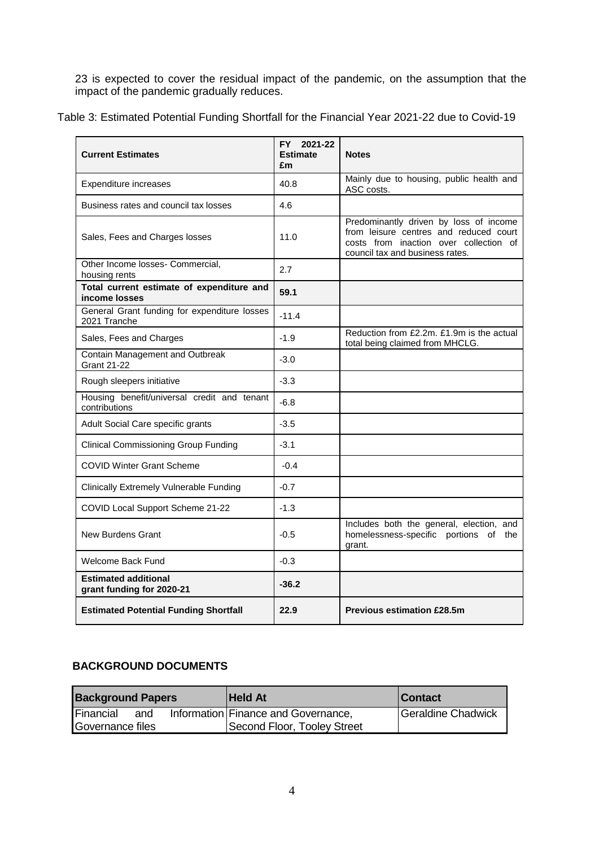23 is expected to cover the residual impact of the pandemic, on the assumption that the impact of the pandemic gradually reduces.

| <b>Current Estimates</b>                                     | FY 2021-22<br><b>Estimate</b><br>£m | <b>Notes</b>                                                                                                                                                  |
|--------------------------------------------------------------|-------------------------------------|---------------------------------------------------------------------------------------------------------------------------------------------------------------|
| Expenditure increases                                        | 40.8                                | Mainly due to housing, public health and<br>ASC costs.                                                                                                        |
| Business rates and council tax losses                        | 4.6                                 |                                                                                                                                                               |
| Sales, Fees and Charges losses                               | 11.0                                | Predominantly driven by loss of income<br>from leisure centres and reduced court<br>costs from inaction over collection of<br>council tax and business rates. |
| Other Income losses- Commercial,<br>housing rents            | 2.7                                 |                                                                                                                                                               |
| Total current estimate of expenditure and<br>income losses   | 59.1                                |                                                                                                                                                               |
| General Grant funding for expenditure losses<br>2021 Tranche | $-11.4$                             |                                                                                                                                                               |
| Sales, Fees and Charges                                      | $-1.9$                              | Reduction from £2.2m. £1.9m is the actual<br>total being claimed from MHCLG.                                                                                  |
| Contain Management and Outbreak<br><b>Grant 21-22</b>        | $-3.0$                              |                                                                                                                                                               |
| Rough sleepers initiative                                    | $-3.3$                              |                                                                                                                                                               |
| Housing benefit/universal credit and tenant<br>contributions | $-6.8$                              |                                                                                                                                                               |
| Adult Social Care specific grants                            | $-3.5$                              |                                                                                                                                                               |
| <b>Clinical Commissioning Group Funding</b>                  | $-3.1$                              |                                                                                                                                                               |
| <b>COVID Winter Grant Scheme</b>                             | $-0.4$                              |                                                                                                                                                               |
| <b>Clinically Extremely Vulnerable Funding</b>               | $-0.7$                              |                                                                                                                                                               |
| COVID Local Support Scheme 21-22                             | $-1.3$                              |                                                                                                                                                               |
| New Burdens Grant                                            | $-0.5$                              | Includes both the general, election, and<br>homelessness-specific portions of the<br>grant.                                                                   |
| <b>Welcome Back Fund</b>                                     | $-0.3$                              |                                                                                                                                                               |
| <b>Estimated additional</b><br>grant funding for 2020-21     | $-36.2$                             |                                                                                                                                                               |
| <b>Estimated Potential Funding Shortfall</b>                 | 22.9                                | <b>Previous estimation £28.5m</b>                                                                                                                             |

## **BACKGROUND DOCUMENTS**

| <b>Background Papers</b> |     | <b>Held At</b>                      | <b>Contact</b>     |
|--------------------------|-----|-------------------------------------|--------------------|
| Financial                | and | Information Finance and Governance, | Geraldine Chadwick |
| Governance files         |     | Second Floor, Tooley Street         |                    |